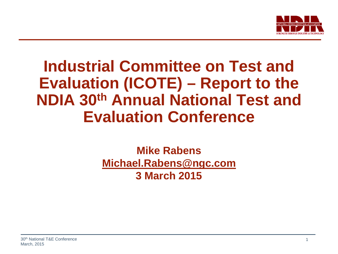

### **Industrial Committee on Test and Evaluation (ICOTE) – Report to the NDIA 30th Annual National Test and Evaluation Conference**

### **Mike Rabens [Michael.Rabens@ngc.com](mailto:Michael.Rabens@ngc.com) 3 March 2015**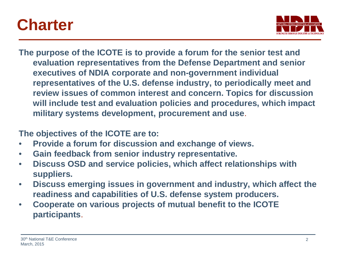### **Charter**



**The purpose of the ICOTE is to provide a forum for the senior test and evaluation representatives from the Defense Department and senior executives of NDIA corporate and non-government individual representatives of the U.S. defense industry, to periodically meet and review issues of common interest and concern. Topics for discussion will include test and evaluation policies and procedures, which impact military systems development, procurement and use**.

**The objectives of the ICOTE are to:** 

- **Provide a forum for discussion and exchange of views.**
- **Gain feedback from senior industry representative.**
- **Discuss OSD and service policies, which affect relationships with suppliers.**
- **Discuss emerging issues in government and industry, which affect the readiness and capabilities of U.S. defense system producers.**
- **Cooperate on various projects of mutual benefit to the ICOTE participants**.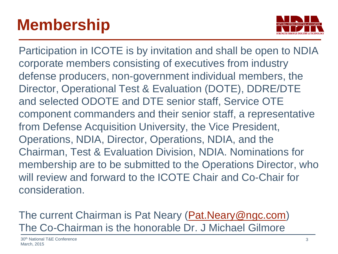# **Membership**



Participation in ICOTE is by invitation and shall be open to NDIA corporate members consisting of executives from industry defense producers, non-government individual members, the Director, Operational Test & Evaluation (DOTE), DDRE/DTE and selected ODOTE and DTE senior staff, Service OTE component commanders and their senior staff, a representative from Defense Acquisition University, the Vice President, Operations, NDIA, Director, Operations, NDIA, and the Chairman, Test & Evaluation Division, NDIA. Nominations for membership are to be submitted to the Operations Director, who will review and forward to the ICOTE Chair and Co-Chair for consideration.

The current Chairman is Pat Neary ([Pat.Neary@ngc.com\)](mailto:Pat.Neary@ngc.com) The Co-Chairman is the honorable Dr. J Michael Gilmore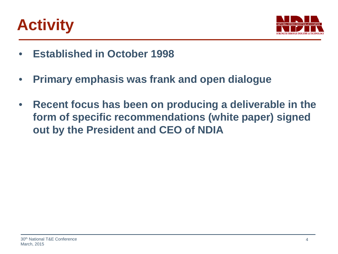# **Activity**



- **Established in October 1998**
- **Primary emphasis was frank and open dialogue**
- **Recent focus has been on producing a deliverable in the form of specific recommendations (white paper) signed out by the President and CEO of NDIA**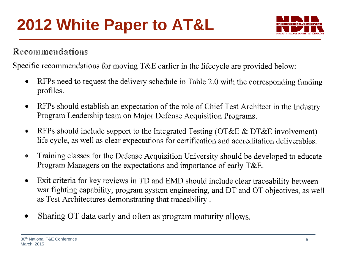

### Recommendations

Specific recommendations for moving T&E earlier in the lifecycle are provided below:

- RFPs need to request the delivery schedule in Table 2.0 with the corresponding funding  $\bullet$ profiles.
- RFPs should establish an expectation of the role of Chief Test Architect in the Industry  $\bullet$ Program Leadership team on Major Defense Acquisition Programs.
- RFPs should include support to the Integrated Testing (OT&E & DT&E involvement)  $\bullet$ life cycle, as well as clear expectations for certification and accreditation deliverables.
- Training classes for the Defense Acquisition University should be developed to educate  $\bullet$ Program Managers on the expectations and importance of early  $T\&E$ .
- Exit criteria for key reviews in TD and EMD should include clear traceability between  $\bullet$ war fighting capability, program system engineering, and DT and OT objectives, as well as Test Architectures demonstrating that traceability.
- Sharing OT data early and often as program maturity allows.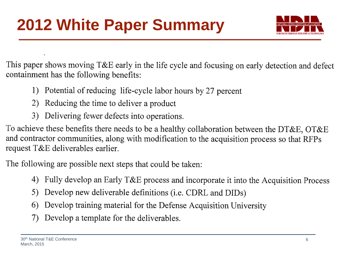

This paper shows moving T&E early in the life cycle and focusing on early detection and defect containment has the following benefits:

- 1) Potential of reducing life-cycle labor hours by 27 percent
- 2) Reducing the time to deliver a product
- 3) Delivering fewer defects into operations.

To achieve these benefits there needs to be a healthy collaboration between the DT&E, OT&E and contractor communities, along with modification to the acquisition process so that RFPs request T&E deliverables earlier.

The following are possible next steps that could be taken:

- 4) Fully develop an Early T&E process and incorporate it into the Acquisition Process
- 5) Develop new deliverable definitions (i.e. CDRL and DIDs)
- Develop training material for the Defense Acquisition University 6)
- 7) Develop a template for the deliverables.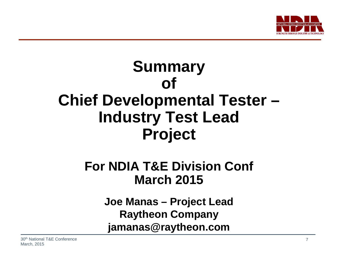

### **Summary of Chief Developmental Tester – Industry Test Lead Project**

### **For NDIA T&E Division Conf March 2015**

**Joe Manas – Project Lead Raytheon Company jamanas@raytheon.com**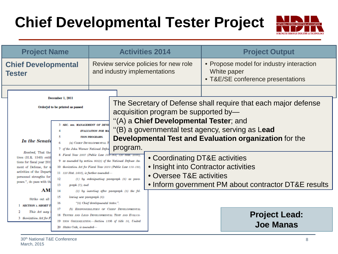### **Chief Developmental Tester Project**



| <b>Project Name</b>                                                                                                                                                                 |                                                                                                                                                                                                                                                                                                                        | <b>Activities 2014</b>                                                         |                                                                                                                                                                         |  | <b>Project Output</b> |                                                                                              |
|-------------------------------------------------------------------------------------------------------------------------------------------------------------------------------------|------------------------------------------------------------------------------------------------------------------------------------------------------------------------------------------------------------------------------------------------------------------------------------------------------------------------|--------------------------------------------------------------------------------|-------------------------------------------------------------------------------------------------------------------------------------------------------------------------|--|-----------------------|----------------------------------------------------------------------------------------------|
| <b>Chief Developmental</b><br><b>Tester</b>                                                                                                                                         |                                                                                                                                                                                                                                                                                                                        |                                                                                | Review service policies for new role<br>and industry implementations                                                                                                    |  |                       | • Propose model for industry interaction<br>White paper<br>• T&E/SE conference presentations |
| December 1, 2011<br>Ordered to be printed as passed                                                                                                                                 |                                                                                                                                                                                                                                                                                                                        |                                                                                | The Secretary of Defense shall require that each major defense<br>acquisition program be supported by-                                                                  |  |                       |                                                                                              |
| In the Senate                                                                                                                                                                       | <b>3 SEC. so6. MANAGEMENT OF DEVE</b><br>6<br>7 of the John Warner National Defen                                                                                                                                                                                                                                      | <b>EVALUATION FOR MA</b><br><b>TION PROGRAMS.</b><br>(a) CHIEF DEVELOPMENTAL T | "(A) a Chief Developmental Tester; and<br>"(B) a governmental test agency, serving as Lead<br><b>Developmental Test and Evaluation organization for the</b><br>program. |  |                       |                                                                                              |
| Resolved, That the<br>tives (H.R. 1540) entit<br>tions for fiscal year 201<br>of Defense, for n<br>activities of the Departi<br>personnel strengths for<br>poses.", do pass with th | 8 Fiscal Year 2007 (Public Law 109-364; 120 Stat. 2330),<br>9 as amended by section 805(c) of the National Defense Au-<br>10 thorization Act for Fiscal Year 2010 (Public Law 110-181;<br>$11$ 123 Stat. 2403), is further amended-<br>$(1)$ by redesignating paragraph $(6)$ as para-<br>12<br>13<br>$graph(7)$ ; and |                                                                                | • Coordinating DT&E activities<br>• Insight into Contractor activities<br>• Oversee T&E activities<br>• Inform government PM about contractor DT&E results              |  |                       |                                                                                              |
| AM<br>Strike out all<br><b>SECTION 1. SHORT T</b><br>This Act may<br>3 thorization Act for I                                                                                        | 14<br>15<br>lowing new paragraph (6):<br>16<br>17<br>18 TESTER AND LEAD DEVELOPMENTAL TEST AND EVALUA-<br>19 TION ORGANIZATION.-Section 139b of title 10, United<br>20 States Code, is amended-                                                                                                                        | "(6) Chief developmental tester.".                                             | $(2)$ by inserting after paragraph $(5)$ the fol-<br>(b) RESPONSIBILITIES OF CHIEF DEVELOPMENTAL                                                                        |  |                       | <b>Project Lead:</b><br><b>Joe Manas</b>                                                     |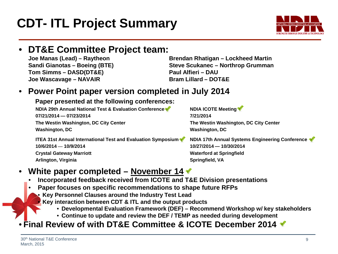### **CDT- ITL Project Summary**

### **DT&E Committee Project team:**<br>Joe Manas (Lead) – Raytheon

**Tom Simms – DASD(DT&E) Joe Wascavage – NAVAIR Bram Lillard – DOT&E**

**Joe Manas (Lead) – Raytheon Brendan Rhatigan – Lockheed Martin Sandi Gianotas – Boeing (BTE) Steve Scukanec – Northrop Grumman**

#### • **Power Point paper version completed in July 2014**

#### **Paper presented at the following conferences:**

**NDIA 29th Annual National Test & Evaluation Conference <b>Way to Annual Network** NDIA ICOTE Meeting **07/21/2014 — 07/23/2014 7/21/2014 The Westin Washington, DC City Center The Westin Washington, DC City Center Washington, DC Washington, DC**

**ITEA 31st Annual International Test and Evaluation Symposium <b>TEA 17th Annual Systems Engineering Conference 10/6/2014 — 10/9/2014 10/27/2014 — 10/30/2014 Crystal Gateway Marriott**  Waterford at Springfield **Waterford at Springfield Arlington, Virginia Springfield, VA** 

### • **White paper completed – November 14**

- **Incorporated feedback received from ICOTE and T&E Division presentations**
- **Paper focuses on specific recommendations to shape future RFPs**
	- **Key Personnel Clauses around the Industry Test Lead**
	- **Key interaction between CDT & ITL and the output products**
		- **Developmental Evaluation Framework (DEF) – Recommend Workshop w/ key stakeholders**
		- **Continue to update and review the DEF / TEMP as needed during development**

### • **Final Review of with DT&E Committee & ICOTE December 2014**



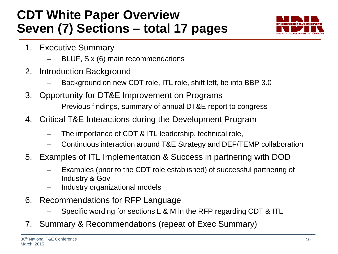### **CDT White Paper Overview Seven (7) Sections – total 17 pages**



- 1. Executive Summary
	- BLUF, Six (6) main recommendations
- 2. Introduction Background
	- Background on new CDT role, ITL role, shift left, tie into BBP 3.0
- 3. Opportunity for DT&E Improvement on Programs
	- Previous findings, summary of annual DT&E report to congress
- 4. Critical T&E Interactions during the Development Program
	- The importance of CDT & ITL leadership, technical role,
	- Continuous interaction around T&E Strategy and DEF/TEMP collaboration
- 5. Examples of ITL Implementation & Success in partnering with DOD
	- Examples (prior to the CDT role established) of successful partnering of Industry & Gov
	- Industry organizational models
- 6. Recommendations for RFP Language
	- Specific wording for sections L & M in the RFP regarding CDT & ITL
- 7. Summary & Recommendations (repeat of Exec Summary)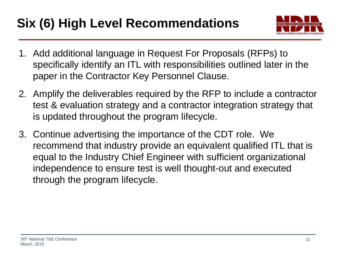### **Six (6) High Level Recommendations**



- 1. Add additional language in Request For Proposals (RFPs) to specifically identify an ITL with responsibilities outlined later in the paper in the Contractor Key Personnel Clause.
- 2. Amplify the deliverables required by the RFP to include a contractor test & evaluation strategy and a contractor integration strategy that is updated throughout the program lifecycle.
- 3. Continue advertising the importance of the CDT role. We recommend that industry provide an equivalent qualified ITL that is equal to the Industry Chief Engineer with sufficient organizational independence to ensure test is well thought-out and executed through the program lifecycle.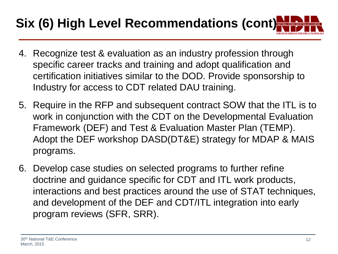# **Six (6) High Level Recommendations (cont)**

- 4. Recognize test & evaluation as an industry profession through specific career tracks and training and adopt qualification and certification initiatives similar to the DOD. Provide sponsorship to Industry for access to CDT related DAU training.
- 5. Require in the RFP and subsequent contract SOW that the ITL is to work in conjunction with the CDT on the Developmental Evaluation Framework (DEF) and Test & Evaluation Master Plan (TEMP). Adopt the DEF workshop DASD(DT&E) strategy for MDAP & MAIS programs.
- 6. Develop case studies on selected programs to further refine doctrine and guidance specific for CDT and ITL work products, interactions and best practices around the use of STAT techniques, and development of the DEF and CDT/ITL integration into early program reviews (SFR, SRR).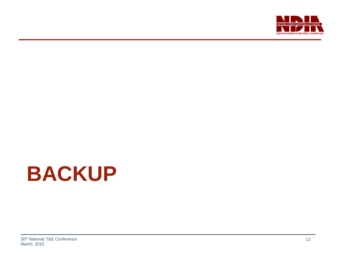

# **BACKUP**

30<sup>th</sup> National T&E Conference March, 2015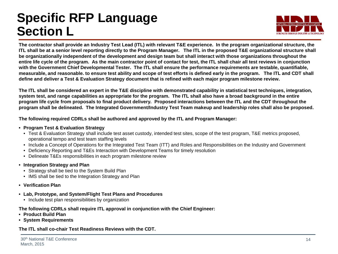### **Specific RFP Language Section L**



**The contractor shall provide an Industry Test Lead (ITL) with relevant T&E experience. In the program organizational structure, the ITL shall be at a senior level reporting directly to the Program Manager. The ITL in the proposed T&E organizational structure shall be organizationally independent of the development and design team but shall interact with those organizations throughout the entire life cycle of the program. As the main contractor point of contact for test, the ITL shall chair all test reviews in conjunction with the Government Chief Developmental Tester. The ITL shall ensure the performance requirements are testable, quantifiable, measurable, and reasonable. to ensure test ability and scope of test efforts is defined early in the program. The ITL and CDT shall define and deliver a Test & Evaluation Strategy document that is refined with each major program milestone review.** 

**The ITL shall be considered an expert in the T&E discipline with demonstrated capability in statistical test techniques, integration, system test, and range capabilities as appropriate for the program. The ITL shall also have a broad background in the entire program life cycle from proposals to final product delivery. Proposed interactions between the ITL and the CDT throughout the program shall be delineated. The Integrated Government/Industry Test Team makeup and leadership roles shall also be proposed.**

**The following required CDRLs shall be authored and approved by the ITL and Program Manager:**

- **• Program Test & Evaluation Strategy**
	- Test & Evaluation Strategy shall include test asset custody, intended test sites, scope of the test program, T&E metrics proposed, operational tempo and test team staffing levels
	- Include a Concept of Operations for the Integrated Test Team (ITT) and Roles and Responsibilities on the Industry and Government
	- Deficiency Reporting and T&Es Interaction with Development Teams for timely resolution
	- Delineate T&Es responsibilities in each program milestone review
- **• Integration Strategy and Plan** 
	- Strategy shall be tied to the System Build Plan
	- IMS shall be tied to the Integration Strategy and Plan
- **• Verification Plan**
- **• Lab, Prototype, and System/Flight Test Plans and Procedures**
	- Include test plan responsibilities by organization

#### **The following CDRLs shall require ITL approval in conjunction with the Chief Engineer:**

- **• Product Build Plan**
- **• System Requirements**

#### **The ITL shall co-chair Test Readiness Reviews with the CDT.**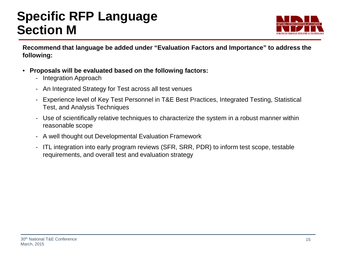### **Specific RFP Language Section M**



**Recommend that language be added under "Evaluation Factors and Importance" to address the following:**

- **Proposals will be evaluated based on the following factors:**
	- Integration Approach
	- An Integrated Strategy for Test across all test venues
	- Experience level of Key Test Personnel in T&E Best Practices, Integrated Testing, Statistical Test, and Analysis Techniques
	- Use of scientifically relative techniques to characterize the system in a robust manner within reasonable scope
	- A well thought out Developmental Evaluation Framework
	- ITL integration into early program reviews (SFR, SRR, PDR) to inform test scope, testable requirements, and overall test and evaluation strategy